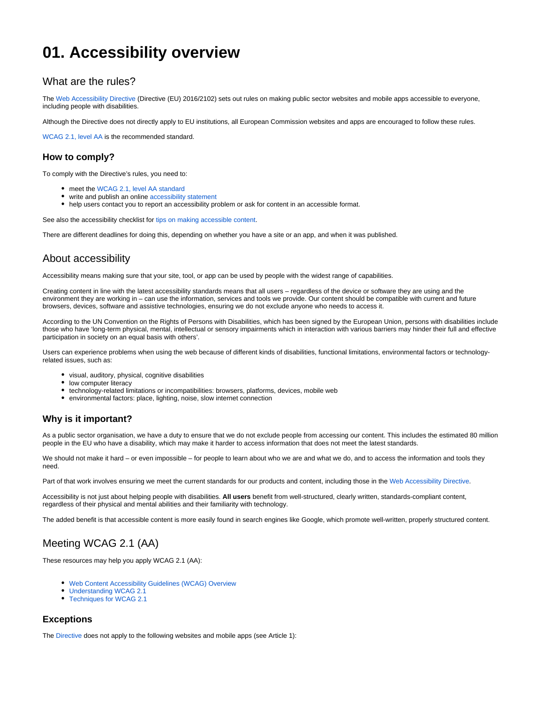# **01. Accessibility overview**

# What are the rules?

The [Web Accessibility Directive](https://eur-lex.europa.eu/eli/dir/2016/2102/oj) (Directive (EU) 2016/2102) sets out rules on making public sector websites and mobile apps accessible to everyone, including people with disabilities.

Although the Directive does not directly apply to EU institutions, all European Commission websites and apps are encouraged to follow these rules.

[WCAG 2.1, level AA](https://www.w3.org/WAI/WCAG21/Understanding/) is the recommended standard.

### **How to comply?**

To comply with the Directive's rules, you need to:

- meet the [WCAG 2.1, level AA standard](https://www.w3.org/WAI/WCAG21/Understanding/)
- write and publish an online [accessibility statement](#page-1-0)
- help users contact you to report an accessibility problem or ask for content in an accessible format.

See also the accessibility checklist for [tips on making accessible content.](https://wikis.ec.europa.eu/display/WEBGUIDE/02.+Content+accessibility+checklist)

There are different deadlines for doing this, depending on whether you have a site or an app, and when it was published.

# About accessibility

Accessibility means making sure that your site, tool, or app can be used by people with the widest range of capabilities.

Creating content in line with the latest accessibility standards means that all users – regardless of the device or software they are using and the environment they are working in – can use the information, services and tools we provide. Our content should be compatible with current and future browsers, devices, software and assistive technologies, ensuring we do not exclude anyone who needs to access it.

According to the UN Convention on the Rights of Persons with Disabilities, which has been signed by the European Union, persons with disabilities include those who have 'long-term physical, mental, intellectual or sensory impairments which in interaction with various barriers may hinder their full and effective participation in society on an equal basis with others'.

Users can experience problems when using the web because of different kinds of disabilities, functional limitations, environmental factors or technologyrelated issues, such as:

- visual, auditory, physical, cognitive disabilities
- low computer literacy
- technology-related limitations or incompatibilities: browsers, platforms, devices, mobile web
- environmental factors: place, lighting, noise, slow internet connection

### **Why is it important?**

As a public sector organisation, we have a duty to ensure that we do not exclude people from accessing our content. This includes the estimated 80 million people in the EU who have a disability, which may make it harder to access information that does not meet the latest standards.

We should not make it hard – or even impossible – for people to learn about who we are and what we do, and to access the information and tools they need.

Part of that work involves ensuring we meet the current standards for our products and content, including those in the [Web Accessibility Directive](https://eur-lex.europa.eu/legal-content/EN/TXT/?uri=uriserv:OJ.L_.2016.327.01.0001.01.ENG&toc=OJ:L:2016:327:TOC).

Accessibility is not just about helping people with disabilities. **All users** benefit from well-structured, clearly written, standards-compliant content, regardless of their physical and mental abilities and their familiarity with technology.

The added benefit is that accessible content is more easily found in search engines like Google, which promote well-written, properly structured content.

# Meeting WCAG 2.1 (AA)

These resources may help you apply WCAG 2.1 (AA):

- [Web Content Accessibility Guidelines \(WCAG\) Overview](https://www.w3.org/WAI/standards-guidelines/wcag/)
- [Understanding WCAG 2.1](https://www.w3.org/WAI/WCAG21/Understanding/)
- [Techniques for WCAG 2.1](https://www.w3.org/WAI/WCAG21/Techniques/)

### **Exceptions**

The [Directive](https://eur-lex.europa.eu/legal-content/EN/TXT/?uri=uriserv:OJ.L_.2016.327.01.0001.01.ENG&toc=OJ:L:2016:327:TOC) does not apply to the following websites and mobile apps (see Article 1):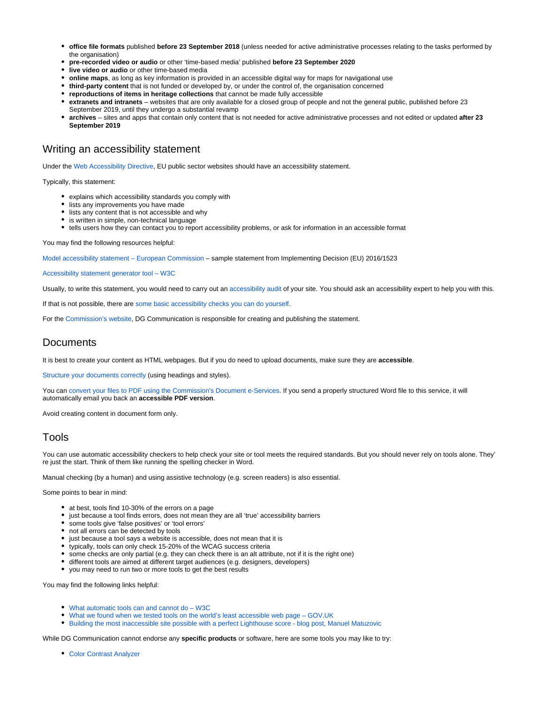- **office file formats** published **before 23 September 2018** (unless needed for active administrative processes relating to the tasks performed by the organisation)
- **pre-recorded video or audio** or other 'time-based media' published **before 23 September 2020**
- **live video or audio** or other time-based media
- **online maps**, as long as key information is provided in an accessible digital way for maps for navigational use
- **third-party content** that is not funded or developed by, or under the control of, the organisation concerned
- **reproductions of items in heritage collections** that cannot be made fully accessible
- **extranets and intranets** websites that are only available for a closed group of people and not the general public, published before 23 September 2019, until they undergo a substantial revamp
- **archives** sites and apps that contain only content that is not needed for active administrative processes and not edited or updated **after 23 September 2019**

## <span id="page-1-0"></span>Writing an accessibility statement

Under the [Web Accessibility Directive,](https://eur-lex.europa.eu/legal-content/EN/TXT/?uri=uriserv:OJ.L_.2016.327.01.0001.01.ENG&toc=OJ:L:2016:327:TOC) EU public sector websites should have an accessibility statement.

Typically, this statement:

- explains which accessibility standards you comply with
- lists any improvements you have made
- lists any content that is not accessible and why
- **•** is written in simple, non-technical language
- tells users how they can contact you to report accessibility problems, or ask for information in an accessible format

You may find the following resources helpful:

[Model accessibility statement – European Commission](http://data.europa.eu/eli/dec_impl/2018/1523/oj) – sample statement from Implementing Decision (EU) 2016/1523

#### [Accessibility statement generator tool – W3C](https://www.w3.org/WAI/planning/statements/generator/#create)

Usually, to write this statement, you would need to carry out an [accessibility audit](https://www.w3.org/WAI/test-evaluate/) of your site. You should ask an accessibility expert to help you with this.

If that is not possible, there are [some basic accessibility checks you can do yourself](https://urldefense.proofpoint.com/v2/url?u=https-3A__www.gov.uk_government_publications_doing-2Da-2Dbasic-2Daccessibility-2Dcheck-2Dif-2Dyou-2Dcant-2Ddo-2Da-2Ddetailed-2Done_doing-2Da-2Dbasic-2Daccessibility-2Dcheck-2Dif-2Dyou-2Dcant-2Ddo-2Da-2Ddetailed-2Done&d=DwMFaQ&c=8NwulVB6ucrjuSGiwL_ckQ&r=yaVjGieQJvAKoaHhEkD1cprAPLqYv0cqmj2tOe34oN4&m=5QJxmXk_wPtzZmdAiSxf9IBNba4Ay4RTkendr4A4BX0&s=H0hLjW0IQHAUbdMQ-jnFwXvluVA1oooX2y6dW_8IXXE&e=).

For the [Commission's website](https://ec.europa.eu/info/index_en), DG Communication is responsible for creating and publishing the statement.

# **Documents**

It is best to create your content as HTML webpages. But if you do need to upload documents, make sure they are **accessible**.

[Structure your documents correctly](https://support.office.com/en-us/article/make-your-word-documents-accessible-to-people-with-disabilities-d9bf3683-87ac-47ea-b91a-78dcacb3c66d?ui=en-US&rs=en-US&ad=US) (using headings and styles).

You can [convert your files to PDF using the Commission's Document e-Services.](https://webgate.ec.europa.eu/fpfis/wikis/spaces/viewspace.action?key=CoDe) If you send a properly structured Word file to this service, it will automatically email you back an **accessible PDF version**.

Avoid creating content in document form only.

## Tools

You can use automatic accessibility checkers to help check your site or tool meets the required standards. But you should never rely on tools alone. They' re just the start. Think of them like running the spelling checker in Word.

Manual checking (by a human) and using assistive technology (e.g. screen readers) is also essential.

Some points to bear in mind:

- at best, tools find 10-30% of the errors on a page
- just because a tool finds errors, does not mean they are all 'true' accessibility barriers
- some tools give 'false positives' or 'tool errors'
- not all errors can be detected by tools
- just because a tool says a website is accessible, does not mean that it is
- typically, tools can only check 15-20% of the WCAG success criteria
- some checks are only partial (e.g. they can check there is an alt attribute, not if it is the right one)
- different tools are aimed at different target audiences (e.g. designers, developers)
- you may need to run two or more tools to get the best results

You may find the following links helpful:

- [What automatic tools can and cannot do W3C](https://www.w3.org/WAI/test-evaluate/tools/selecting/)
- [What we found when we tested tools on the world's least accessible web page GOV.UK](https://accessibility.blog.gov.uk/2017/02/24/what-we-found-when-we-tested-tools-on-the-worlds-least-accessible-webpage/)
- [Building the most inaccessible site possible with a perfect Lighthouse score blog post, Manuel Matuzovic](https://www.matuzo.at/blog/building-the-most-inaccessible-site-possible-with-a-perfect-lighthouse-score/)

While DG Communication cannot endorse any **specific products** or software, here are some tools you may like to try:

[Color Contrast Analyzer](https://urldefense.proofpoint.com/v2/url?u=https-3A__developer.paciellogroup.com_resources_contrastanalyser_&d=DwMFaQ&c=8NwulVB6ucrjuSGiwL_ckQ&r=yaVjGieQJvAKoaHhEkD1cprAPLqYv0cqmj2tOe34oN4&m=5QJxmXk_wPtzZmdAiSxf9IBNba4Ay4RTkendr4A4BX0&s=TsxkPYzFBXVkvFmC2CcFnTJ0C3P8xoBjkJ32vNRbIcE&e=)